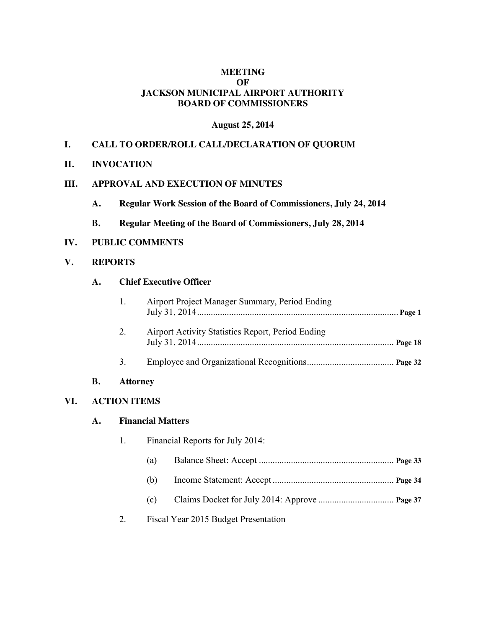## **MEETING OF JACKSON MUNICIPAL AIRPORT AUTHORITY BOARD OF COMMISSIONERS**

#### **August 25, 2014**

## **I. CALL TO ORDER/ROLL CALL/DECLARATION OF QUORUM**

**II. INVOCATION**

## **III. APPROVAL AND EXECUTION OF MINUTES**

- **A. Regular Work Session of the Board of Commissioners, July 24, 2014**
- **B. Regular Meeting of the Board of Commissioners, July 28, 2014**

## **IV. PUBLIC COMMENTS**

#### **V. REPORTS**

#### **A. Chief Executive Officer**

| 1. | Airport Project Manager Summary, Period Ending    |  |
|----|---------------------------------------------------|--|
| 2. | Airport Activity Statistics Report, Period Ending |  |
| 3. |                                                   |  |

#### **B. Attorney**

## **VI. ACTION ITEMS**

#### **A. Financial Matters**

| 1. | Financial Reports for July 2014: |                                      |  |
|----|----------------------------------|--------------------------------------|--|
|    | (a)                              |                                      |  |
|    | (b)                              |                                      |  |
|    | (c)                              |                                      |  |
| 2. |                                  | Fiscal Year 2015 Budget Presentation |  |